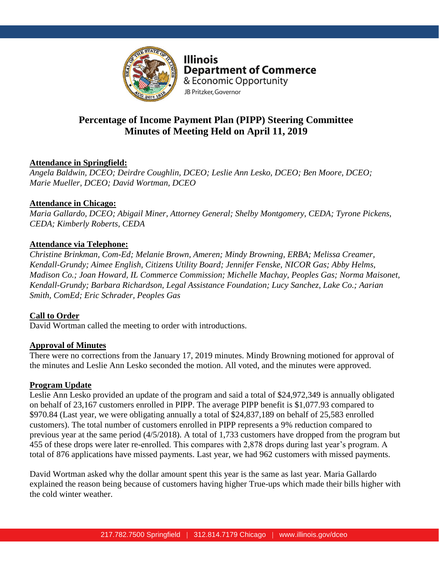

**Illinois Department of Commerce** & Economic Opportunity JB Pritzker, Governor

# **Percentage of Income Payment Plan (PIPP) Steering Committee Minutes of Meeting Held on April 11, 2019**

# **Attendance in Springfield:**

*Angela Baldwin, DCEO; Deirdre Coughlin, DCEO; Leslie Ann Lesko, DCEO; Ben Moore, DCEO; Marie Mueller, DCEO; David Wortman, DCEO*

### **Attendance in Chicago:**

*Maria Gallardo, DCEO; Abigail Miner, Attorney General; Shelby Montgomery, CEDA; Tyrone Pickens, CEDA; Kimberly Roberts, CEDA*

### **Attendance via Telephone:**

*Christine Brinkman, Com-Ed; Melanie Brown, Ameren; Mindy Browning, ERBA; Melissa Creamer, Kendall-Grundy; Aimee English, Citizens Utility Board; Jennifer Fenske, NICOR Gas; Abby Helms, Madison Co.; Joan Howard, IL Commerce Commission; Michelle Machay, Peoples Gas; Norma Maisonet, Kendall-Grundy; Barbara Richardson, Legal Assistance Foundation; Lucy Sanchez, Lake Co.; Aarian Smith, ComEd; Eric Schrader, Peoples Gas*

# **Call to Order**

David Wortman called the meeting to order with introductions.

### **Approval of Minutes**

There were no corrections from the January 17, 2019 minutes. Mindy Browning motioned for approval of the minutes and Leslie Ann Lesko seconded the motion. All voted, and the minutes were approved.

### **Program Update**

Leslie Ann Lesko provided an update of the program and said a total of \$24,972,349 is annually obligated on behalf of 23,167 customers enrolled in PIPP. The average PIPP benefit is \$1,077.93 compared to \$970.84 (Last year, we were obligating annually a total of \$24,837,189 on behalf of 25,583 enrolled customers). The total number of customers enrolled in PIPP represents a 9% reduction compared to previous year at the same period (4/5/2018). A total of 1,733 customers have dropped from the program but 455 of these drops were later re-enrolled. This compares with 2,878 drops during last year's program. A total of 876 applications have missed payments. Last year, we had 962 customers with missed payments.

David Wortman asked why the dollar amount spent this year is the same as last year. Maria Gallardo explained the reason being because of customers having higher True-ups which made their bills higher with the cold winter weather.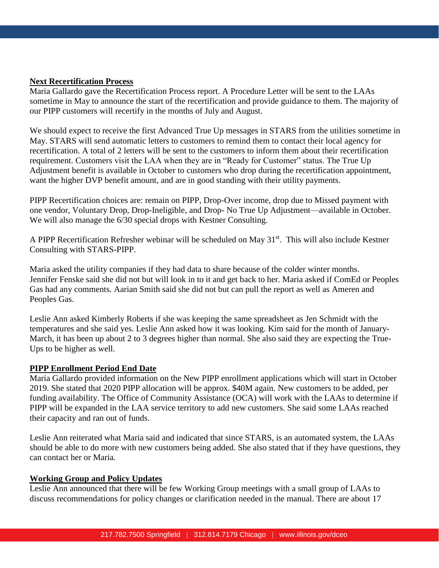### **Next Recertification Process**

Maria Gallardo gave the Recertification Process report. A Procedure Letter will be sent to the LAAs sometime in May to announce the start of the recertification and provide guidance to them. The majority of our PIPP customers will recertify in the months of July and August.

We should expect to receive the first Advanced True Up messages in STARS from the utilities sometime in May. STARS will send automatic letters to customers to remind them to contact their local agency for recertification. A total of 2 letters will be sent to the customers to inform them about their recertification requirement. Customers visit the LAA when they are in "Ready for Customer" status. The True Up Adjustment benefit is available in October to customers who drop during the recertification appointment, want the higher DVP benefit amount, and are in good standing with their utility payments.

PIPP Recertification choices are: remain on PIPP, Drop-Over income, drop due to Missed payment with one vendor, Voluntary Drop, Drop-Ineligible, and Drop- No True Up Adjustment—available in October. We will also manage the 6/30 special drops with Kestner Consulting.

A PIPP Recertification Refresher webinar will be scheduled on May  $31<sup>st</sup>$ . This will also include Kestner Consulting with STARS-PIPP.

Maria asked the utility companies if they had data to share because of the colder winter months. Jennifer Fenske said she did not but will look in to it and get back to her. Maria asked if ComEd or Peoples Gas had any comments. Aarian Smith said she did not but can pull the report as well as Ameren and Peoples Gas.

Leslie Ann asked Kimberly Roberts if she was keeping the same spreadsheet as Jen Schmidt with the temperatures and she said yes. Leslie Ann asked how it was looking. Kim said for the month of January-March, it has been up about 2 to 3 degrees higher than normal. She also said they are expecting the True-Ups to be higher as well.

#### **PIPP Enrollment Period End Date**

Maria Gallardo provided information on the New PIPP enrollment applications which will start in October 2019. She stated that 2020 PIPP allocation will be approx. \$40M again. New customers to be added, per funding availability. The Office of Community Assistance (OCA) will work with the LAAs to determine if PIPP will be expanded in the LAA service territory to add new customers. She said some LAAs reached their capacity and ran out of funds.

Leslie Ann reiterated what Maria said and indicated that since STARS, is an automated system, the LAAs should be able to do more with new customers being added. She also stated that if they have questions, they can contact her or Maria.

#### **Working Group and Policy Updates**

Leslie Ann announced that there will be few Working Group meetings with a small group of LAAs to discuss recommendations for policy changes or clarification needed in the manual. There are about 17